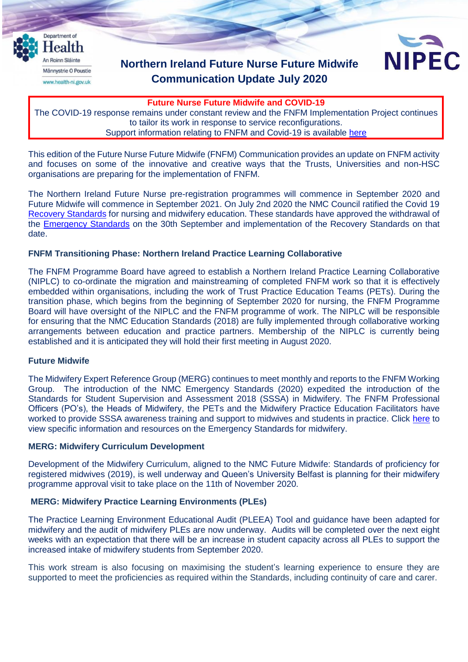

# **Northern Ireland Future Nurse Future Midwife Communication Update July 2020**



**Future Nurse Future Midwife and COVID-19**

The COVID-19 response remains under constant review and the FNFM Implementation Project continues to tailor its work in response to service reconfigurations. Support information relating to FNFM and Covid-19 is available [here](https://nipec.hscni.net/service/fnfm/fnfm-resources/)

This edition of the Future Nurse Future Midwife (FNFM) Communication provides an update on FNFM activity and focuses on some of the innovative and creative ways that the Trusts, Universities and non-HSC organisations are preparing for the implementation of FNFM.

The Northern Ireland Future Nurse pre-registration programmes will commence in September 2020 and Future Midwife will commence in September 2021. On July 2nd 2020 the NMC Council ratified the Covid 19 [Recovery Standards](https://www.nmc.org.uk/globalassets/sitedocuments/education-standards/recovery-programme-standards.pdf) for nursing and midwifery education. These standards have approved the withdrawal of the [Emergency Standards](https://www.nmc.org.uk/standards-for-education-and-training/emergency-education-standards/) on the 30th September and implementation of the Recovery Standards on that date.

## **FNFM Transitioning Phase: Northern Ireland Practice Learning Collaborative**

The FNFM Programme Board have agreed to establish a Northern Ireland Practice Learning Collaborative (NIPLC) to co-ordinate the migration and mainstreaming of completed FNFM work so that it is effectively embedded within organisations, including the work of Trust Practice Education Teams (PETs). During the transition phase, which begins from the beginning of September 2020 for nursing, the FNFM Programme Board will have oversight of the NIPLC and the FNFM programme of work. The NIPLC will be responsible for ensuring that the NMC Education Standards (2018) are fully implemented through collaborative working arrangements between education and practice partners. Membership of the NIPLC is currently being established and it is anticipated they will hold their first meeting in August 2020.

## **Future Midwife**

The Midwifery Expert Reference Group (MERG) continues to meet monthly and reports to the FNFM Working Group. The introduction of the NMC Emergency Standards (2020) expedited the introduction of the Standards for Student Supervision and Assessment 2018 (SSSA) in Midwifery. The FNFM Professional Officers (PO's), the Heads of Midwifery, the PETs and the Midwifery Practice Education Facilitators have worked to provide SSSA awareness training and support to midwives and students in practice. Click [here](https://nipec.hscni.net/service/fnfm/fnfm-resources/) to view specific information and resources on the Emergency Standards for midwifery.

## **MERG: Midwifery Curriculum Development**

Development of the Midwifery Curriculum, aligned to the NMC Future Midwife: Standards of proficiency for registered midwives (2019), is well underway and Queen's University Belfast is planning for their midwifery programme approval visit to take place on the 11th of November 2020.

## **MERG: Midwifery Practice Learning Environments (PLEs)**

The Practice Learning Environment Educational Audit (PLEEA) Tool and guidance have been adapted for midwifery and the audit of midwifery PLEs are now underway. Audits will be completed over the next eight weeks with an expectation that there will be an increase in student capacity across all PLEs to support the increased intake of midwifery students from September 2020.

This work stream is also focusing on maximising the student's learning experience to ensure they are supported to meet the proficiencies as required within the Standards, including continuity of care and carer.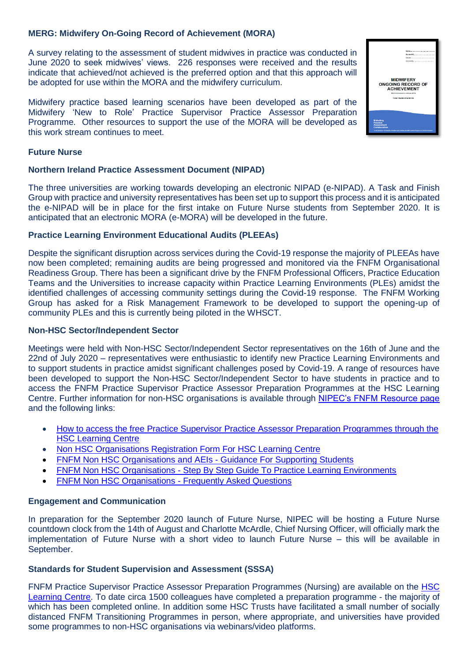## **MERG: Midwifery On-Going Record of Achievement (MORA)**

A survey relating to the assessment of student midwives in practice was conducted in June 2020 to seek midwives' views. 226 responses were received and the results indicate that achieved/not achieved is the preferred option and that this approach will be adopted for use within the MORA and the midwifery curriculum.

Midwifery practice based learning scenarios have been developed as part of the Midwifery 'New to Role' Practice Supervisor Practice Assessor Preparation Programme. Other resources to support the use of the MORA will be developed as this work stream continues to meet.

#### **Future Nurse**

#### **Northern Ireland Practice Assessment Document (NIPAD)**

The three universities are working towards developing an electronic NIPAD (e-NIPAD). A Task and Finish Group with practice and university representatives has been set up to support this process and it is anticipated the e-NIPAD will be in place for the first intake on Future Nurse students from September 2020. It is anticipated that an electronic MORA (e-MORA) will be developed in the future.

#### **Practice Learning Environment Educational Audits (PLEEAs)**

Despite the significant disruption across services during the Covid-19 response the majority of PLEEAs have now been completed; remaining audits are being progressed and monitored via the FNFM Organisational Readiness Group. There has been a significant drive by the FNFM Professional Officers, Practice Education Teams and the Universities to increase capacity within Practice Learning Environments (PLEs) amidst the identified challenges of accessing community settings during the Covid-19 response. The FNFM Working Group has asked for a Risk Management Framework to be developed to support the opening-up of community PLEs and this is currently being piloted in the WHSCT.

#### **Non-HSC Sector/Independent Sector**

Meetings were held with Non-HSC Sector/Independent Sector representatives on the 16th of June and the 22nd of July 2020 – representatives were enthusiastic to identify new Practice Learning Environments and to support students in practice amidst significant challenges posed by Covid-19. A range of resources have been developed to support the Non-HSC Sector/Independent Sector to have students in practice and to access the FNFM Practice Supervisor Practice Assessor Preparation Programmes at the HSC Learning Centre. Further information for non-HSC organisations is available through [NIPEC's FNFM Resource page](https://nipec.hscni.net/service/fnfm/fnfm-resources/) and the following links:

- [How to access the free Practice Supervisor Practice Assessor Preparation Programmes through the](https://nipec.hscni.net/download/467/general-docs/4792/fnfm-non-hsc-organisations-letter-re-preparation-programmes-final.pdf)  [HSC Learning Centre](https://nipec.hscni.net/download/467/general-docs/4792/fnfm-non-hsc-organisations-letter-re-preparation-programmes-final.pdf)
- [Non HSC Organisations Registration Form For HSC Learning Centre](https://nipec.hscni.net/download/467/general-docs/4032/fnfm-non-hsc-registration-form-for-hsc-learning-centre-220720-2.pdf)
- [FNFM Non HSC Organisations and AEIs -](https://nipec.hscni.net/download/467/general-docs/4026/fnfm-non-hsc-organisations-and-aeis-guidance-for-supporting-students-290720.pdf) Guidance For Supporting Students
- FNFM Non HSC Organisations [Step By Step Guide To Practice Learning Environments](https://nipec.hscni.net/download/467/general-docs/4790/fnfm-non-hsc-organisations-step-by-step-guide-to-ple-290720.pdf)
- [FNFM Non HSC Organisations -](https://nipec.hscni.net/download/467/general-docs/4789/fnfm-non-hsc-organisations-faqs-290720.pdf) Frequently Asked Questions

## **Engagement and Communication**

In preparation for the September 2020 launch of Future Nurse, NIPEC will be hosting a Future Nurse countdown clock from the 14th of August and Charlotte McArdle, Chief Nursing Officer, will officially mark the implementation of Future Nurse with a short video to launch Future Nurse – this will be available in September.

## **Standards for Student Supervision and Assessment (SSSA)**

FNFM Practice Supervisor Practice Assessor Preparation Programmes (Nursing) are available on the [HSC](https://www.hsclearning.com/)  [Learning Centre.](https://www.hsclearning.com/) To date circa 1500 colleagues have completed a preparation programme - the majority of which has been completed online. In addition some HSC Trusts have facilitated a small number of socially distanced FNFM Transitioning Programmes in person, where appropriate, and universities have provided some programmes to non-HSC organisations via webinars/video platforms.

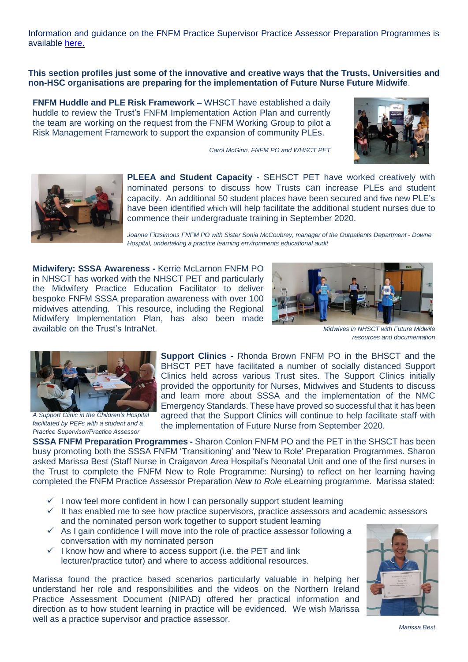Information and guidance on the FNFM Practice Supervisor Practice Assessor Preparation Programmes is available [here.](https://nipec.hscni.net/service/fnfm/fnfm-resources/)

**This section profiles just some of the innovative and creative ways that the Trusts, Universities and non-HSC organisations are preparing for the implementation of Future Nurse Future Midwife**.

**FNFM Huddle and PLE Risk Framework –** WHSCT have established a daily huddle to review the Trust's FNFM Implementation Action Plan and currently the team are working on the request from the FNFM Working Group to pilot a Risk Management Framework to support the expansion of community PLEs.







**PLEEA and Student Capacity -** SEHSCT PET have worked creatively with nominated persons to discuss how Trusts can increase PLEs and student capacity. An additional 50 student places have been secured and five new PLE's have been identified which will help facilitate the additional student nurses due to commence their undergraduate training in September 2020.

*Joanne Fitzsimons FNFM PO with Sister Sonia McCoubrey, manager of the Outpatients Department - Downe Hospital, undertaking a practice learning environments educational audit*

**Midwifery: SSSA Awareness -** Kerrie McLarnon FNFM PO in NHSCT has worked with the NHSCT PET and particularly the Midwifery Practice Education Facilitator to deliver bespoke FNFM SSSA preparation awareness with over 100 midwives attending. This resource, including the Regional Midwifery Implementation Plan, has also been made available on the Trust's IntraNet.*Midwives in NHSCT with Future Midwife*



*resources and documentation*



*A Support Clinic in the Children's Hospital facilitated by PEFs with a student and a Practice Supervisor/Practice Assessor*

**Support Clinics -** Rhonda Brown FNFM PO in the BHSCT and the BHSCT PET have facilitated a number of socially distanced Support Clinics held across various Trust sites. The Support Clinics initially provided the opportunity for Nurses, Midwives and Students to discuss and learn more about SSSA and the implementation of the NMC Emergency Standards. These have proved so successful that it has been agreed that the Support Clinics will continue to help facilitate staff with the implementation of Future Nurse from September 2020.

**SSSA FNFM Preparation Programmes -** Sharon Conlon FNFM PO and the PET in the SHSCT has been busy promoting both the SSSA FNFM 'Transitioning' and 'New to Role' Preparation Programmes. Sharon asked Marissa Best (Staff Nurse in Craigavon Area Hospital's Neonatal Unit and one of the first nurses in the Trust to complete the FNFM New to Role Programme: Nursing) to reflect on her learning having completed the FNFM Practice Assessor Preparation *New to Role* eLearning programme. Marissa stated:

- $\checkmark$  I now feel more confident in how I can personally support student learning
- $\checkmark$  It has enabled me to see how practice supervisors, practice assessors and academic assessors and the nominated person work together to support student learning
- $\checkmark$  As I gain confidence I will move into the role of practice assessor following a conversation with my nominated person
- $\checkmark$  I know how and where to access support (i.e. the PET and link lecturer/practice tutor) and where to access additional resources.

Marissa found the practice based scenarios particularly valuable in helping her understand her role and responsibilities and the videos on the Northern Ireland Practice Assessment Document (NIPAD) offered her practical information and direction as to how student learning in practice will be evidenced. We wish Marissa well as a practice supervisor and practice assessor.



*Marissa Best*